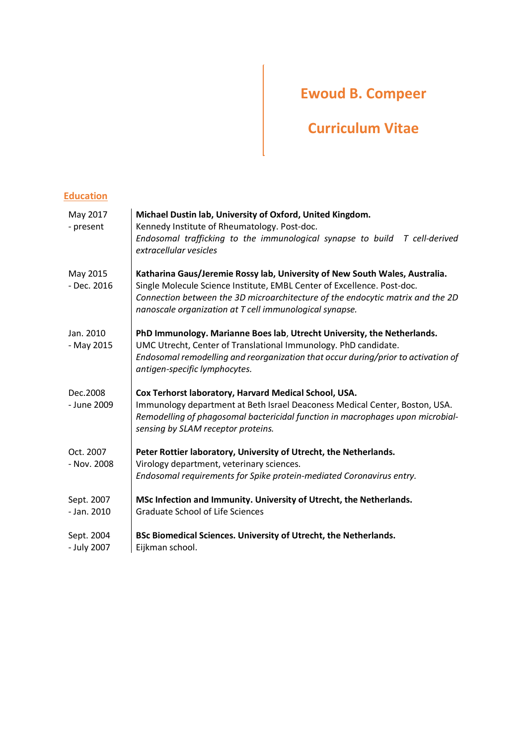# **Ewoud B. Compeer**

# **Curriculum Vitae**

# **Education**

| May 2017<br>- present     | Michael Dustin lab, University of Oxford, United Kingdom.<br>Kennedy Institute of Rheumatology. Post-doc.<br>Endosomal trafficking to the immunological synapse to build<br>T cell-derived<br>extracellular vesicles                                                                                |
|---------------------------|-----------------------------------------------------------------------------------------------------------------------------------------------------------------------------------------------------------------------------------------------------------------------------------------------------|
| May 2015<br>- Dec. 2016   | Katharina Gaus/Jeremie Rossy lab, University of New South Wales, Australia.<br>Single Molecule Science Institute, EMBL Center of Excellence. Post-doc.<br>Connection between the 3D microarchitecture of the endocytic matrix and the 2D<br>nanoscale organization at T cell immunological synapse. |
| Jan. 2010<br>- May 2015   | PhD Immunology. Marianne Boes lab, Utrecht University, the Netherlands.<br>UMC Utrecht, Center of Translational Immunology. PhD candidate.<br>Endosomal remodelling and reorganization that occur during/prior to activation of<br>antigen-specific lymphocytes.                                    |
| Dec.2008<br>- June 2009   | Cox Terhorst laboratory, Harvard Medical School, USA.<br>Immunology department at Beth Israel Deaconess Medical Center, Boston, USA.<br>Remodelling of phagosomal bactericidal function in macrophages upon microbial-<br>sensing by SLAM receptor proteins.                                        |
| Oct. 2007<br>- Nov. 2008  | Peter Rottier laboratory, University of Utrecht, the Netherlands.<br>Virology department, veterinary sciences.<br>Endosomal requirements for Spike protein-mediated Coronavirus entry.                                                                                                              |
| Sept. 2007<br>- Jan. 2010 | MSc Infection and Immunity. University of Utrecht, the Netherlands.<br><b>Graduate School of Life Sciences</b>                                                                                                                                                                                      |
| Sept. 2004<br>- July 2007 | BSc Biomedical Sciences. University of Utrecht, the Netherlands.<br>Eijkman school.                                                                                                                                                                                                                 |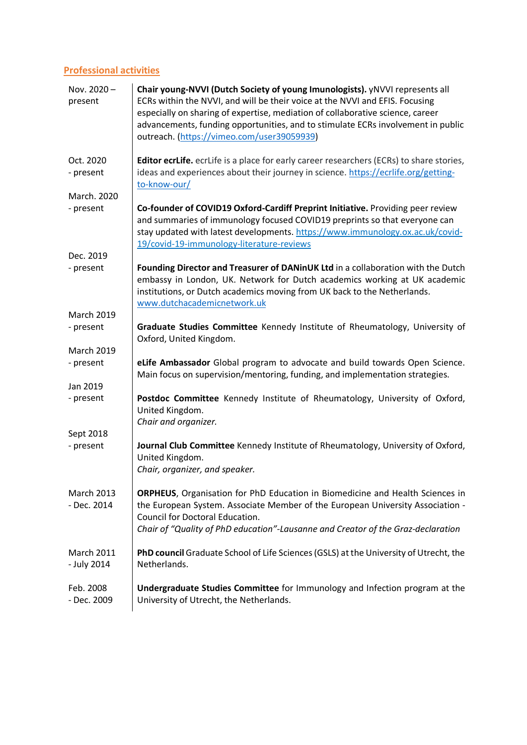# **Professional activities**

| Nov. 2020-<br>present            | Chair young-NVVI (Dutch Society of young Imunologists). yNVVI represents all<br>ECRs within the NVVI, and will be their voice at the NVVI and EFIS. Focusing<br>especially on sharing of expertise, mediation of collaborative science, career<br>advancements, funding opportunities, and to stimulate ECRs involvement in public<br>outreach. (https://vimeo.com/user39059939) |
|----------------------------------|----------------------------------------------------------------------------------------------------------------------------------------------------------------------------------------------------------------------------------------------------------------------------------------------------------------------------------------------------------------------------------|
| Oct. 2020<br>- present           | <b>Editor ecrLife.</b> ecrLife is a place for early career researchers (ECRs) to share stories,<br>ideas and experiences about their journey in science. https://ecrlife.org/getting-<br>to-know-our/                                                                                                                                                                            |
| March. 2020                      |                                                                                                                                                                                                                                                                                                                                                                                  |
| - present                        | Co-founder of COVID19 Oxford-Cardiff Preprint Initiative. Providing peer review<br>and summaries of immunology focused COVID19 preprints so that everyone can<br>stay updated with latest developments. https://www.immunology.ox.ac.uk/covid-<br>19/covid-19-immunology-literature-reviews                                                                                      |
| Dec. 2019                        |                                                                                                                                                                                                                                                                                                                                                                                  |
| - present                        | Founding Director and Treasurer of DANinUK Ltd in a collaboration with the Dutch<br>embassy in London, UK. Network for Dutch academics working at UK academic<br>institutions, or Dutch academics moving from UK back to the Netherlands.<br>www.dutchacademicnetwork.uk                                                                                                         |
| <b>March 2019</b>                |                                                                                                                                                                                                                                                                                                                                                                                  |
| - present                        | Graduate Studies Committee Kennedy Institute of Rheumatology, University of<br>Oxford, United Kingdom.                                                                                                                                                                                                                                                                           |
| <b>March 2019</b>                |                                                                                                                                                                                                                                                                                                                                                                                  |
| - present                        | eLife Ambassador Global program to advocate and build towards Open Science.<br>Main focus on supervision/mentoring, funding, and implementation strategies.                                                                                                                                                                                                                      |
| Jan 2019                         |                                                                                                                                                                                                                                                                                                                                                                                  |
| - present                        | Postdoc Committee Kennedy Institute of Rheumatology, University of Oxford,<br>United Kingdom.<br>Chair and organizer.                                                                                                                                                                                                                                                            |
| Sept 2018                        |                                                                                                                                                                                                                                                                                                                                                                                  |
| - present                        | Journal Club Committee Kennedy Institute of Rheumatology, University of Oxford,<br>United Kingdom.<br>Chair, organizer, and speaker.                                                                                                                                                                                                                                             |
| <b>March 2013</b><br>- Dec. 2014 | ORPHEUS, Organisation for PhD Education in Biomedicine and Health Sciences in<br>the European System. Associate Member of the European University Association -<br>Council for Doctoral Education.<br>Chair of "Quality of PhD education"-Lausanne and Creator of the Graz-declaration                                                                                           |
| <b>March 2011</b><br>- July 2014 | PhD council Graduate School of Life Sciences (GSLS) at the University of Utrecht, the<br>Netherlands.                                                                                                                                                                                                                                                                            |
| Feb. 2008<br>- Dec. 2009         | Undergraduate Studies Committee for Immunology and Infection program at the<br>University of Utrecht, the Netherlands.                                                                                                                                                                                                                                                           |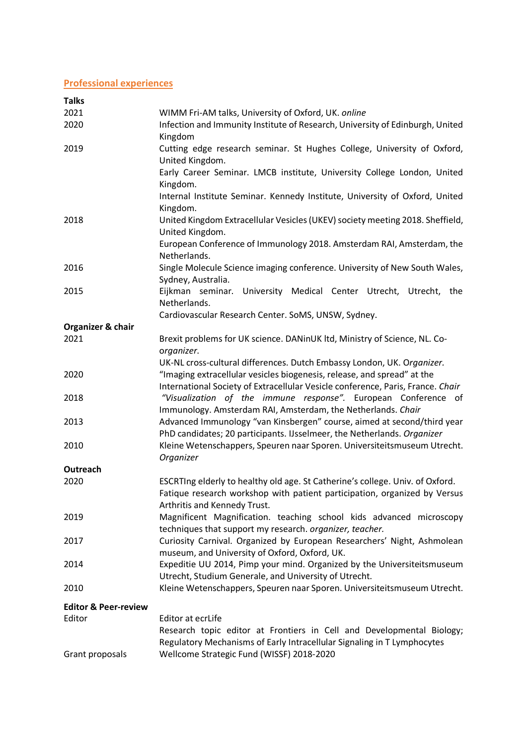# **Professional experiences**

| <b>Talks</b>                    |                                                                                                                                   |
|---------------------------------|-----------------------------------------------------------------------------------------------------------------------------------|
| 2021                            | WIMM Fri-AM talks, University of Oxford, UK. online                                                                               |
| 2020                            | Infection and Immunity Institute of Research, University of Edinburgh, United<br>Kingdom                                          |
| 2019                            | Cutting edge research seminar. St Hughes College, University of Oxford,                                                           |
|                                 | United Kingdom.                                                                                                                   |
|                                 | Early Career Seminar. LMCB institute, University College London, United<br>Kingdom.                                               |
|                                 | Internal Institute Seminar. Kennedy Institute, University of Oxford, United                                                       |
| 2018                            | Kingdom.<br>United Kingdom Extracellular Vesicles (UKEV) society meeting 2018. Sheffield,                                         |
|                                 | United Kingdom.                                                                                                                   |
|                                 | European Conference of Immunology 2018. Amsterdam RAI, Amsterdam, the                                                             |
|                                 | Netherlands.<br>Single Molecule Science imaging conference. University of New South Wales,                                        |
| 2016                            | Sydney, Australia.                                                                                                                |
| 2015                            | Eijkman seminar. University Medical Center Utrecht, Utrecht, the                                                                  |
|                                 | Netherlands.                                                                                                                      |
|                                 | Cardiovascular Research Center. SoMS, UNSW, Sydney.                                                                               |
| Organizer & chair               |                                                                                                                                   |
| 2021                            | Brexit problems for UK science. DANinUK ltd, Ministry of Science, NL. Co-<br>organizer.                                           |
|                                 | UK-NL cross-cultural differences. Dutch Embassy London, UK. Organizer.                                                            |
| 2020                            | "Imaging extracellular vesicles biogenesis, release, and spread" at the                                                           |
|                                 | International Society of Extracellular Vesicle conference, Paris, France. Chair                                                   |
| 2018                            | "Visualization of the immune response". European Conference of                                                                    |
|                                 | Immunology. Amsterdam RAI, Amsterdam, the Netherlands. Chair                                                                      |
| 2013                            | Advanced Immunology "van Kinsbergen" course, aimed at second/third year                                                           |
|                                 | PhD candidates; 20 participants. IJsselmeer, the Netherlands. Organizer                                                           |
| 2010                            | Kleine Wetenschappers, Speuren naar Sporen. Universiteitsmuseum Utrecht.                                                          |
|                                 | Organizer                                                                                                                         |
| Outreach<br>2020                | ESCRTIng elderly to healthy old age. St Catherine's college. Univ. of Oxford.                                                     |
|                                 | Fatique research workshop with patient participation, organized by Versus                                                         |
|                                 | Arthritis and Kennedy Trust.                                                                                                      |
| 2019                            | Magnificent Magnification. teaching school kids advanced microscopy                                                               |
|                                 | techniques that support my research. organizer, teacher.                                                                          |
| 2017                            | Curiosity Carnival. Organized by European Researchers' Night, Ashmolean                                                           |
|                                 | museum, and University of Oxford, Oxford, UK.                                                                                     |
| 2014                            | Expeditie UU 2014, Pimp your mind. Organized by the Universiteitsmuseum                                                           |
| 2010                            | Utrecht, Studium Generale, and University of Utrecht.<br>Kleine Wetenschappers, Speuren naar Sporen. Universiteitsmuseum Utrecht. |
|                                 |                                                                                                                                   |
| <b>Editor &amp; Peer-review</b> |                                                                                                                                   |
| Editor                          | Editor at ecrLife                                                                                                                 |
|                                 | Research topic editor at Frontiers in Cell and Developmental Biology;                                                             |
| Grant proposals                 | Regulatory Mechanisms of Early Intracellular Signaling in T Lymphocytes<br>Wellcome Strategic Fund (WISSF) 2018-2020              |
|                                 |                                                                                                                                   |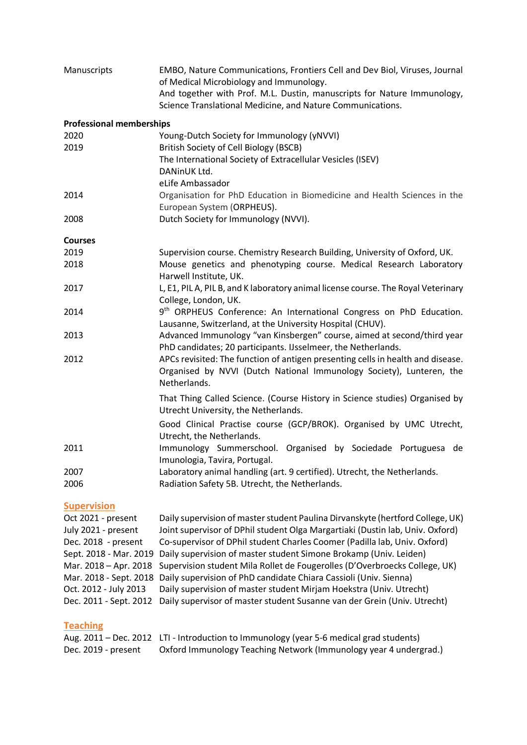| Manuscripts                     | EMBO, Nature Communications, Frontiers Cell and Dev Biol, Viruses, Journal<br>of Medical Microbiology and Immunology.<br>And together with Prof. M.L. Dustin, manuscripts for Nature Immunology,<br>Science Translational Medicine, and Nature Communications. |
|---------------------------------|----------------------------------------------------------------------------------------------------------------------------------------------------------------------------------------------------------------------------------------------------------------|
| <b>Professional memberships</b> |                                                                                                                                                                                                                                                                |
| 2020                            | Young-Dutch Society for Immunology (yNVVI)                                                                                                                                                                                                                     |
| 2019                            | British Society of Cell Biology (BSCB)                                                                                                                                                                                                                         |
|                                 | The International Society of Extracellular Vesicles (ISEV)                                                                                                                                                                                                     |
|                                 | DANinUK Ltd.                                                                                                                                                                                                                                                   |
|                                 | eLife Ambassador                                                                                                                                                                                                                                               |
| 2014                            | Organisation for PhD Education in Biomedicine and Health Sciences in the<br>European System (ORPHEUS).                                                                                                                                                         |
| 2008                            | Dutch Society for Immunology (NVVI).                                                                                                                                                                                                                           |
| <b>Courses</b>                  |                                                                                                                                                                                                                                                                |
| 2019                            | Supervision course. Chemistry Research Building, University of Oxford, UK.                                                                                                                                                                                     |
| 2018                            | Mouse genetics and phenotyping course. Medical Research Laboratory                                                                                                                                                                                             |
|                                 | Harwell Institute, UK.                                                                                                                                                                                                                                         |
| 2017                            | L, E1, PIL A, PIL B, and K laboratory animal license course. The Royal Veterinary                                                                                                                                                                              |
|                                 | College, London, UK.                                                                                                                                                                                                                                           |
| 2014                            | 9 <sup>th</sup> ORPHEUS Conference: An International Congress on PhD Education.                                                                                                                                                                                |
|                                 | Lausanne, Switzerland, at the University Hospital (CHUV).                                                                                                                                                                                                      |
| 2013                            | Advanced Immunology "van Kinsbergen" course, aimed at second/third year<br>PhD candidates; 20 participants. IJsselmeer, the Netherlands.                                                                                                                       |
| 2012                            | APCs revisited: The function of antigen presenting cells in health and disease.                                                                                                                                                                                |
|                                 | Organised by NVVI (Dutch National Immunology Society), Lunteren, the<br>Netherlands.                                                                                                                                                                           |
|                                 |                                                                                                                                                                                                                                                                |
|                                 | That Thing Called Science. (Course History in Science studies) Organised by<br>Utrecht University, the Netherlands.                                                                                                                                            |
|                                 | Good Clinical Practise course (GCP/BROK). Organised by UMC Utrecht,                                                                                                                                                                                            |
|                                 | Utrecht, the Netherlands.                                                                                                                                                                                                                                      |
| 2011                            | Immunology Summerschool. Organised by Sociedade Portuguesa de<br>Imunologia, Tavira, Portugal.                                                                                                                                                                 |
| 2007                            | Laboratory animal handling (art. 9 certified). Utrecht, the Netherlands.                                                                                                                                                                                       |
| 2006                            | Radiation Safety 5B. Utrecht, the Netherlands.                                                                                                                                                                                                                 |

#### **Supervision**

Oct 2021 - present Daily supervision of master student Paulina Dirvanskyte (hertford College, UK) July 2021 - present Joint supervisor of DPhil student Olga Margartiaki (Dustin lab, Univ. Oxford) Dec. 2018 - present Co-supervisor of DPhil student Charles Coomer (Padilla lab, Univ. Oxford) Sept. 2018 - Mar. 2019 Daily supervision of master student Simone Brokamp (Univ. Leiden) Mar. 2018 – Apr. 2018 Supervision student Mila Rollet de Fougerolles (D'Overbroecks College, UK) Mar. 2018 - Sept. 2018 Daily supervision of PhD candidate Chiara Cassioli (Univ. Sienna) Oct. 2012 - July 2013 Daily supervision of master student Mirjam Hoekstra (Univ. Utrecht) Dec. 2011 - Sept. 2012 Daily supervisor of master student Susanne van der Grein (Univ. Utrecht)

# **Teaching**

|                     | Aug. 2011 – Dec. 2012 LTI - Introduction to Immunology (year 5-6 medical grad students) |
|---------------------|-----------------------------------------------------------------------------------------|
| Dec. 2019 - present | Oxford Immunology Teaching Network (Immunology year 4 undergrad.)                       |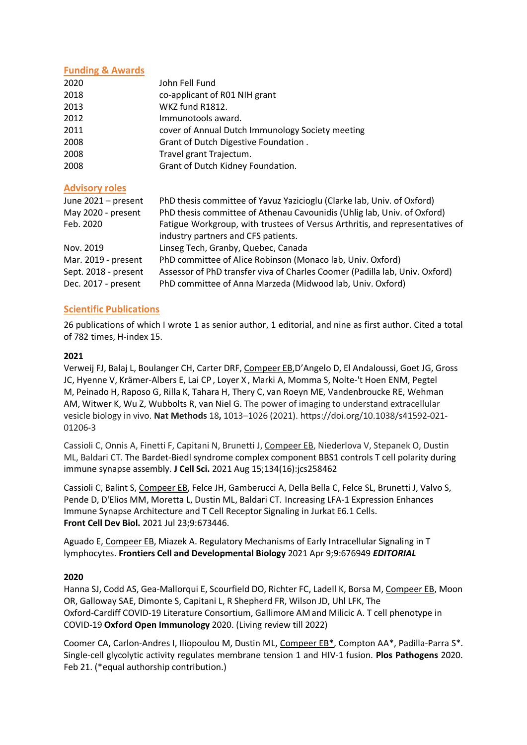# **Funding & Awards**

| 2020 | John Fell Fund                                   |
|------|--------------------------------------------------|
| 2018 | co-applicant of R01 NIH grant                    |
| 2013 | WKZ fund R1812.                                  |
| 2012 | Immunotools award.                               |
| 2011 | cover of Annual Dutch Immunology Society meeting |
| 2008 | Grant of Dutch Digestive Foundation.             |
| 2008 | Travel grant Trajectum.                          |
| 2008 | Grant of Dutch Kidney Foundation.                |
|      |                                                  |

#### **Advisory roles**

| June 2021 - present  | PhD thesis committee of Yavuz Yazicioglu (Clarke lab, Univ. of Oxford)       |
|----------------------|------------------------------------------------------------------------------|
| May 2020 - present   | PhD thesis committee of Athenau Cavounidis (Uhlig lab, Univ. of Oxford)      |
| Feb. 2020            | Fatigue Workgroup, with trustees of Versus Arthritis, and representatives of |
|                      | industry partners and CFS patients.                                          |
| Nov. 2019            | Linseg Tech, Granby, Quebec, Canada                                          |
| Mar. 2019 - present  | PhD committee of Alice Robinson (Monaco lab, Univ. Oxford)                   |
| Sept. 2018 - present | Assessor of PhD transfer viva of Charles Coomer (Padilla lab, Univ. Oxford)  |
| Dec. 2017 - present  | PhD committee of Anna Marzeda (Midwood lab, Univ. Oxford)                    |
|                      |                                                                              |

# **Scientific Publications**

26 publications of which I wrote 1 as senior author, 1 editorial, and nine as first author. Cited a total of 782 times, H-index 15.

# **2021**

Verweij FJ, Balaj L, Boulanger CH, Carter DRF, Compeer EB,D'Angelo D, El Andaloussi, Goet JG, Gross JC, Hyenne V, Krämer-Albers E, Lai CP , Loyer X , Marki A, Momma S, Nolte-'t Hoen ENM, Pegtel M, Peinado H, Raposo G, Rilla K, Tahara H, Thery C, van Roeyn ME, Vandenbroucke RE, Wehman AM, Witwer K, Wu Z, Wubbolts R, van Niel G. The power of imaging to understand extracellular vesicle biology in vivo. **Nat Methods** 18**,** 1013–1026 (2021). https://doi.org/10.1038/s41592-021- 01206-3

Cassioli C, Onnis A, Finetti F, Capitani N, Brunetti J, Compeer EB, Niederlova V, Stepanek O, Dustin ML, Baldari CT. The Bardet-Biedl syndrome complex component BBS1 controls T cell polarity during immune synapse assembly. **J Cell Sci.** 2021 Aug 15;134(16):jcs258462

Cassioli C, Balint S, Compeer EB, Felce JH, Gamberucci A, Della Bella C, Felce SL, Brunetti J, Valvo S, Pende D, D'Elios MM, Moretta L, Dustin ML, Baldari CT. [Increasing LFA-1 Expression Enhances](https://pubmed.ncbi.nlm.nih.gov/34368126/)  [Immune Synapse Architecture and T Cell Receptor Signaling in Jurkat E6.1 Cells.](https://pubmed.ncbi.nlm.nih.gov/34368126/) **Front Cell Dev Biol.** 2021 Jul 23;9:673446.

Aguado E, Compeer EB, Miazek A. Regulatory Mechanisms of Early Intracellular Signaling in T lymphocytes. **Frontiers Cell and Developmental Biology** 2021 Apr 9;9:676949 *EDITORIAL*

#### **2020**

Hanna SJ, Codd AS, Gea-Mallorqui E, Scourfield DO, Richter FC, Ladell K, Borsa M, Compeer EB, Moon OR, Galloway SAE, Dimonte S, Capitani L, R Shepherd FR, Wilson JD, Uhl LFK, The Oxford-Cardiff COVID-19 Literature Consortium, Gallimore AM and Milicic A. T cell phenotype in COVID-19 **Oxford Open Immunology** 2020. (Living review till 2022)

Coomer CA, Carlon-Andres I, Iliopoulou M, Dustin ML, Compeer EB\*, Compton AA\*, Padilla-Parra S\*. [Single-cell glycolytic activity regulates membrane tension 1 and HIV-1 fusion.](https://www.biorxiv.org/content/10.1101/693341v1.abstract) **Plos Pathogens** 2020. Feb 21. (\*equal authorship contribution.)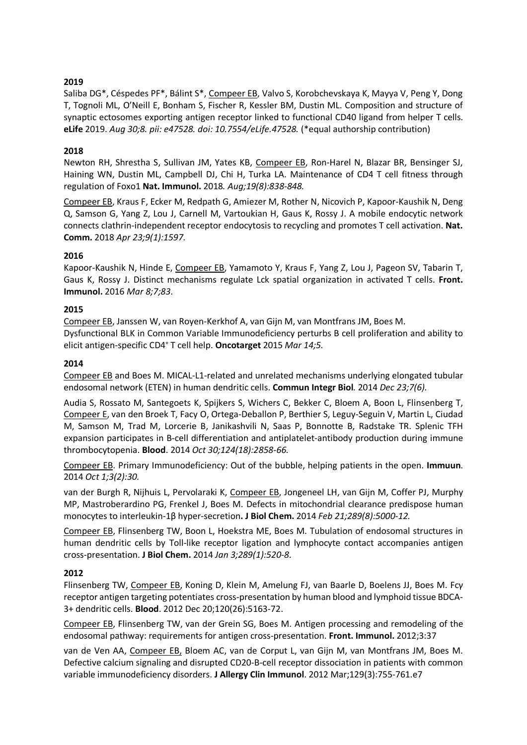# **2019**

Saliba DG\*, Céspedes PF\*, Bálint S\*, Compeer EB, Valvo S, Korobchevskaya K, Mayya V, Peng Y, Dong T, Tognoli ML, O'Neill E, Bonham S, Fischer R, Kessler BM, Dustin ML. Composition and structure of synaptic ectosomes exporting antigen receptor linked to functional CD40 ligand from helper T cells. **eLife** 2019. *Aug 30;8. pii: e47528. doi: 10.7554/eLife.47528.* (\*equal authorship contribution)

# **2018**

Newton RH, Shrestha S, Sullivan JM, Yates KB, Compeer EB, Ron-Harel N, Blazar BR, Bensinger SJ, Haining WN, Dustin ML, Campbell DJ, Chi H, Turka LA. Maintenance of CD4 T cell fitness through regulation of Foxo1 **Nat. Immunol.** 2018*. Aug;19(8):838-848.*

Compeer EB, Kraus F, Ecker M, Redpath G, Amiezer M, Rother N, Nicovich P, Kapoor-Kaushik N, Deng Q, Samson G, Yang Z, Lou J, Carnell M, Vartoukian H, Gaus K, Rossy J. A mobile endocytic network connects clathrin-independent receptor endocytosis to recycling and promotes T cell activation. **Nat. Comm.** 2018 *Apr 23;9(1):1597.*

# **2016**

Kapoor-Kaushik N, Hinde E, Compeer EB, Yamamoto Y, Kraus F, Yang Z, Lou J, Pageon SV, Tabarin T, Gaus K, Rossy J. Distinct mechanisms regulate Lck spatial organization in activated T cells. **Front. Immunol.** 2016 *Mar 8;7;83*.

# **2015**

Compeer EB, Janssen W, van Royen-Kerkhof A, van Gijn M, van Montfrans JM, Boes M. Dysfunctional BLK in Common Variable Immunodeficiency perturbs B cell proliferation and ability to elicit antigen-specific CD4+ T cell help. **Oncotarget** 2015 *Mar 14;5.*

#### **2014**

Compeer EB and Boes M. MICAL-L1-related and unrelated mechanisms underlying elongated tubular endosomal network (ETEN) in human dendritic cells. **Commun Integr Biol***.* 2014 *Dec 23;7(6).*

Audia S, Rossato M, Santegoets K, Spijkers S, Wichers C, Bekker C, Bloem A, Boon L, Flinsenberg T, Compeer E, van den Broek T, Facy O, Ortega-Deballon P, Berthier S, Leguy-Seguin V, Martin L, Ciudad M, Samson M, Trad M, Lorcerie B, Janikashvili N, Saas P, Bonnotte B, Radstake TR. [Splenic TFH](http://www.ncbi.nlm.nih.gov/pubmed/25232056)  [expansion participates in B-cell differentiation and antiplatelet-antibody](http://www.ncbi.nlm.nih.gov/pubmed/25232056) production during immune [thrombocytopenia.](http://www.ncbi.nlm.nih.gov/pubmed/25232056) **Blood**. 2014 *Oct 30;124(18):2858-66.*

Compeer EB. Primary Immunodeficiency: Out of the bubble, helping patients in the open. **Immuun**. 2014 *Oct 1;3(2):30.*

van der Burgh R, Nijhuis L, Pervolaraki K, Compeer EB, Jongeneel LH, van Gijn M, Coffer PJ, Murphy MP, Mastroberardino PG, Frenkel J, Boes M. Defects in mitochondrial clearance predispose human monocytes to interleukin-1β hyper-secretion**. J Biol Chem.** 2014 *Feb 21;289(8):5000-12.*

Compeer EB, Flinsenberg TW, Boon L, Hoekstra ME, Boes M. Tubulation of endosomal structures in human dendritic cells by Toll-like receptor ligation and lymphocyte contact accompanies antigen cross-presentation. **J Biol Chem.** 2014 *Jan 3;289(1):520-8*.

#### **2012**

Flinsenberg TW, Compeer EB, Koning D, Klein M, Amelung FJ, van Baarle D, Boelens JJ, Boes M. Fcγ receptor antigen targeting potentiates cross-presentation by human blood and lymphoid tissue BDCA-3+ dendritic cells. **Blood**. 2012 Dec 20;120(26):5163-72.

Compeer EB, Flinsenberg TW, van der Grein SG, Boes M. Antigen processing and remodeling of the endosomal pathway: requirements for antigen cross-presentation. **Front. Immunol.** 2012;3:37

van de Ven AA, Compeer EB, Bloem AC, van de Corput L, van Gijn M, van Montfrans JM, Boes M. Defective calcium signaling and disrupted CD20-B-cell receptor dissociation in patients with common variable immunodeficiency disorders. **J Allergy Clin Immunol**. 2012 Mar;129(3):755-761.e7